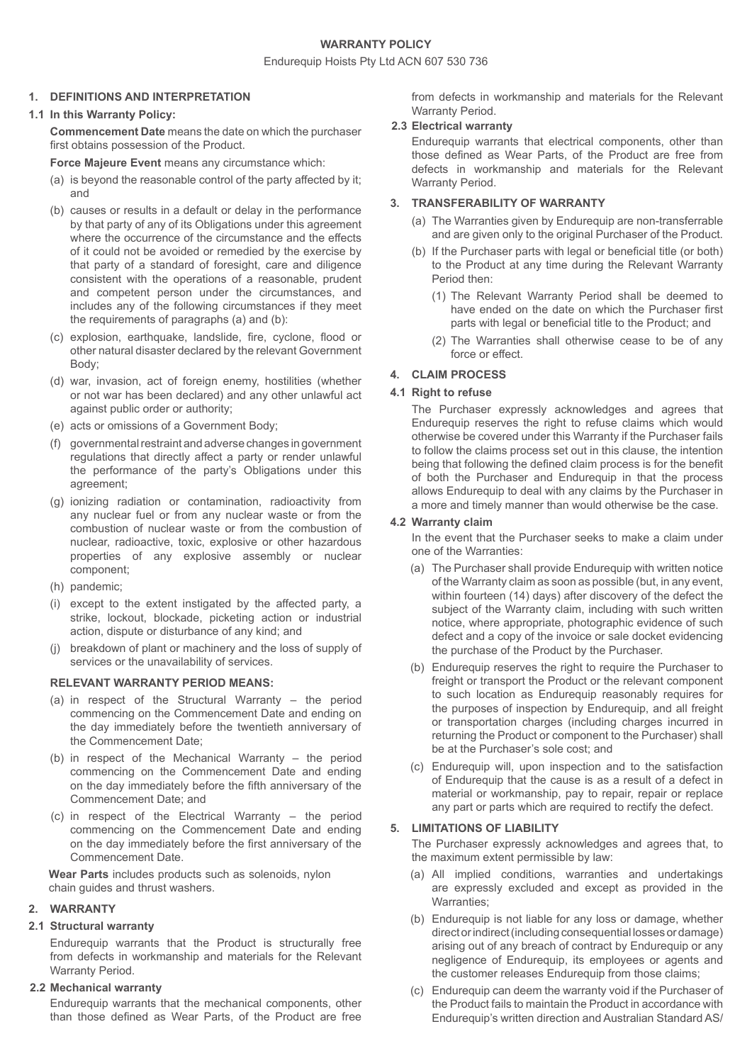### Endurequip Hoists Pty Ltd ACN 607 530 736

#### **1. DEFINITIONS AND INTERPRETATION**

#### **1.1 In this Warranty Policy:**

**Commencement Date** means the date on which the purchaser first obtains possession of the Product.

**Force Majeure Event** means any circumstance which:

- (a) is beyond the reasonable control of the party affected by it; and
- (b) causes or results in a default or delay in the performance by that party of any of its Obligations under this agreement where the occurrence of the circumstance and the effects of it could not be avoided or remedied by the exercise by that party of a standard of foresight, care and diligence consistent with the operations of a reasonable, prudent and competent person under the circumstances, and includes any of the following circumstances if they meet the requirements of paragraphs (a) and (b):
- (c) explosion, earthquake, landslide, fire, cyclone, flood or other natural disaster declared by the relevant Government Body;
- (d) war, invasion, act of foreign enemy, hostilities (whether or not war has been declared) and any other unlawful act against public order or authority;
- (e) acts or omissions of a Government Body;
- (f) governmental restraint and adverse changes in government regulations that directly affect a party or render unlawful the performance of the party's Obligations under this agreement;
- (g) ionizing radiation or contamination, radioactivity from any nuclear fuel or from any nuclear waste or from the combustion of nuclear waste or from the combustion of nuclear, radioactive, toxic, explosive or other hazardous properties of any explosive assembly or nuclear component;
- (h) pandemic;
- (i) except to the extent instigated by the affected party, a strike, lockout, blockade, picketing action or industrial action, dispute or disturbance of any kind; and
- (j) breakdown of plant or machinery and the loss of supply of services or the unavailability of services.

### **RELEVANT WARRANTY PERIOD MEANS:**

- (a) in respect of the Structural Warranty the period commencing on the Commencement Date and ending on the day immediately before the twentieth anniversary of the Commencement Date;
- (b) in respect of the Mechanical Warranty the period commencing on the Commencement Date and ending on the day immediately before the fifth anniversary of the Commencement Date; and
- (c) in respect of the Electrical Warranty the period commencing on the Commencement Date and ending on the day immediately before the first anniversary of the Commencement Date.

**Wear Parts** includes products such as solenoids, nylon chain guides and thrust washers.

### **2. WARRANTY**

### **2.1 Structural warranty**

Endurequip warrants that the Product is structurally free from defects in workmanship and materials for the Relevant Warranty Period.

### **2.2 Mechanical warranty**

Endurequip warrants that the mechanical components, other than those defined as Wear Parts, of the Product are free from defects in workmanship and materials for the Relevant Warranty Period.

### **2.3 Electrical warranty**

Endurequip warrants that electrical components, other than those defined as Wear Parts, of the Product are free from defects in workmanship and materials for the Relevant Warranty Period.

### **3. TRANSFERABILITY OF WARRANTY**

- (a) The Warranties given by Endurequip are non-transferrable and are given only to the original Purchaser of the Product.
- (b) If the Purchaser parts with legal or beneficial title (or both) to the Product at any time during the Relevant Warranty Period then:
	- (1) The Relevant Warranty Period shall be deemed to have ended on the date on which the Purchaser first parts with legal or beneficial title to the Product; and
	- (2) The Warranties shall otherwise cease to be of any force or effect.

# **4. CLAIM PROCESS**

### **4.1 Right to refuse**

The Purchaser expressly acknowledges and agrees that Endurequip reserves the right to refuse claims which would otherwise be covered under this Warranty if the Purchaser fails to follow the claims process set out in this clause, the intention being that following the defined claim process is for the benefit of both the Purchaser and Endurequip in that the process allows Endurequip to deal with any claims by the Purchaser in a more and timely manner than would otherwise be the case.

### **4.2 Warranty claim**

In the event that the Purchaser seeks to make a claim under one of the Warranties:

- (a) The Purchaser shall provide Endurequip with written notice of the Warranty claim as soon as possible (but, in any event, within fourteen (14) days) after discovery of the defect the subject of the Warranty claim, including with such written notice, where appropriate, photographic evidence of such defect and a copy of the invoice or sale docket evidencing the purchase of the Product by the Purchaser.
- (b) Endurequip reserves the right to require the Purchaser to freight or transport the Product or the relevant component to such location as Endurequip reasonably requires for the purposes of inspection by Endurequip, and all freight or transportation charges (including charges incurred in returning the Product or component to the Purchaser) shall be at the Purchaser's sole cost; and
- (c) Endurequip will, upon inspection and to the satisfaction of Endurequip that the cause is as a result of a defect in material or workmanship, pay to repair, repair or replace any part or parts which are required to rectify the defect.

### **5. LIMITATIONS OF LIABILITY**

The Purchaser expressly acknowledges and agrees that, to the maximum extent permissible by law:

- (a) All implied conditions, warranties and undertakings are expressly excluded and except as provided in the Warranties;
- (b) Endurequip is not liable for any loss or damage, whether direct or indirect (including consequential losses or damage) arising out of any breach of contract by Endurequip or any negligence of Endurequip, its employees or agents and the customer releases Endurequip from those claims;
- (c) Endurequip can deem the warranty void if the Purchaser of the Product fails to maintain the Product in accordance with Endurequip's written direction and Australian Standard AS/